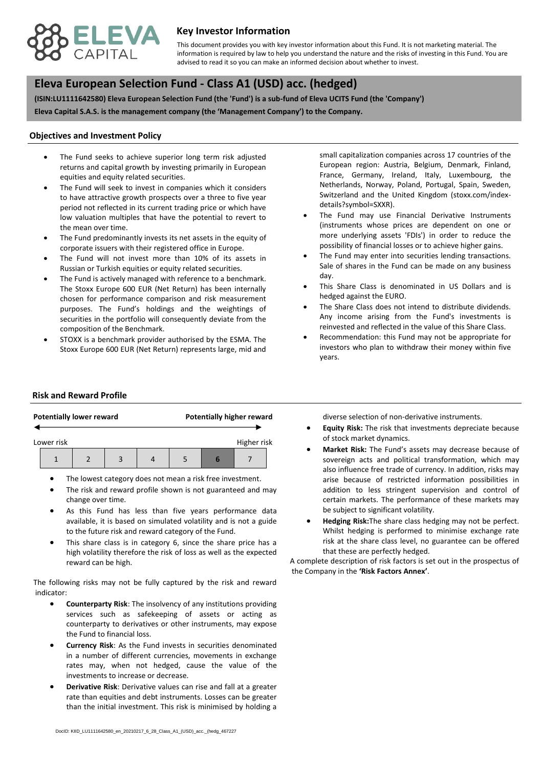

## **Key Investor Information**

advised to read it so you can make an informed decision about whether to invest. This document provides you with key investor information about this Fund. It is not marketing material. The information is required by law to help you understand the nature and the risks of investing in this Fund. You are

# **, Eleva European Selection Fund - Class A1 (USD) acc. (hedged)**

**(ISIN:LU1111642580) Eleva European Selection Fund (the 'Fund') is a sub-fund of Eleva UCITS Fund (the 'Company') Eleva Capital S.A.S. is the management company (the 'Management Company') to the Company.**

#### **Objectives and Investment Policy**

- equities and equity related securities. The Fund seeks to achieve superior long term risk adjusted returns and capital growth by investing primarily in European
- The Fund will seek to invest in companies which it considers to have attractive growth prospects over a three to five year period not reflected in its current trading price or which have low valuation multiples that have the potential to revert to the mean over time.
- The Fund predominantly invests its net assets in the equity of corporate issuers with their registered office in Europe.
- The Fund will not invest more than 10% of its assets in Russian or Turkish equities or equity related securities.
- The Fund is actively managed with reference to a benchmark. The Stoxx Europe 600 EUR (Net Return) has been internally chosen for performance comparison and risk measurement purposes. The Fund's holdings and the weightings of securities in the portfolio will consequently deviate from the composition of the Benchmark.
- STOXX is a benchmark provider authorised by the ESMA. The Stoxx Europe 600 EUR (Net Return) represents large, mid and

small capitalization companies across 17 countries of the European region: Austria, Belgium, Denmark, Finland, France, Germany, Ireland, Italy, Luxembourg, the Netherlands, Norway, Poland, Portugal, Spain, Sweden, Switzerland and the United Kingdom (stoxx.com/indexdetails?symbol=SXXR).

- The Fund may use Financial Derivative Instruments (instruments whose prices are dependent on one or more underlying assets 'FDIs') in order to reduce the possibility of financial losses or to achieve higher gains.
- The Fund may enter into securities lending transactions. Sale of shares in the Fund can be made on any business day.
- This Share Class is denominated in US Dollars and is hedged against the EURO.
- The Share Class does not intend to distribute dividends. Any income arising from the Fund's investments is reinvested and reflected in the value of this Share Class.
- Recommendation: this Fund may not be appropriate for investors who plan to withdraw their money within five years.

#### **Risk and Reward Profile**

|            | <b>Potentially lower reward</b> |  | <b>Potentially higher reward</b> |  |             |  |
|------------|---------------------------------|--|----------------------------------|--|-------------|--|
| Lower risk |                                 |  |                                  |  | Higher risk |  |
|            |                                 |  |                                  |  |             |  |

- The lowest category does not mean a risk free investment.
- The risk and reward profile shown is not guaranteed and may change over time.
- As this Fund has less than five years performance data available, it is based on simulated volatility and is not a guide to the future risk and reward category of the Fund.
- This share class is in category 6, since the share price has a high volatility therefore the risk of loss as well as the expected reward can be high.

The following risks may not be fully captured by the risk and reward indicator:

- **Counterparty Risk**: The insolvency of any institutions providing services such as safekeeping of assets or acting as counterparty to derivatives or other instruments, may expose the Fund to financial loss.
- **Currency Risk**: As the Fund invests in securities denominated in a number of different currencies, movements in exchange rates may, when not hedged, cause the value of the investments to increase or decrease.
- **Derivative Risk**: Derivative values can rise and fall at a greater rate than equities and debt instruments. Losses can be greater than the initial investment. This risk is minimised by holding a

diverse selection of non-derivative instruments.

- **Equity Risk:** The risk that investments depreciate because of stock market dynamics.
- **Market Risk:** The Fund's assets may decrease because of sovereign acts and political transformation, which may also influence free trade of currency. In addition, risks may arise because of restricted information possibilities in addition to less stringent supervision and control of certain markets. The performance of these markets may be subject to significant volatility.
- **Hedging Risk:**The share class hedging may not be perfect. Whilst hedging is performed to minimise exchange rate risk at the share class level, no guarantee can be offered that these are perfectly hedged.

A complete description of risk factors is set out in the prospectus of the Company in the **'Risk Factors Annex'**.